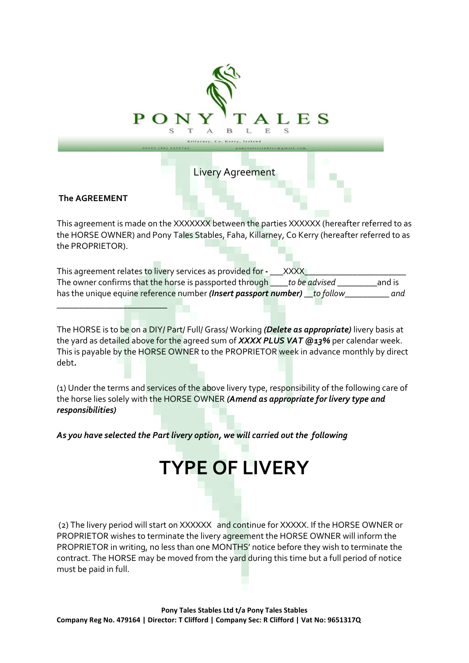

This agreement is made on the XXXXXXX between the parties XXXXXX (hereafter referred to as the HORSE OWNER) and Pony Tales Stables, Faha, Killarney, Co Kerry (hereafter referred to as the PROPRIETOR).

This agreement relates to livery services as provided for *-* \_\_\_XXXX\_ The owner confirms that the horse is passported through \_\_\_\_*to be advised* \_\_\_\_\_\_\_\_\_and is has the unique equine reference number *(Insert passport number) \_\_to follow\_\_\_\_\_\_\_\_\_\_ and* 

The HORSE is to be on a DIY/ Part/ Full/ Grass/ Working *(Delete as appropriate)* livery basis at the yard as detailed above for the agreed sum of *XXXX PLUS VAT @13%* per calendar week. This is payable by the HORSE OWNER to the PROPRIETOR week in advance monthly by direct debt*.* 

(1) Under the terms and services of the above livery type, responsibility of the following care of the horse lies solely with the HORSE OWNER *(Amend as appropriate for livery type and responsibilities)* 

**TYPE OF LIVERY**

*As you have selected the Part livery option, we will carried out the following* 

*\_\_\_\_\_\_\_\_\_\_\_\_\_\_\_\_\_\_\_\_\_\_\_\_\_*

(2) The livery period will start on XXXXXX and continue for XXXXX. If the HORSE OWNER or PROPRIETOR wishes to terminate the livery agreement the HORSE OWNER will inform the PROPRIETOR in writing, no less than one MONTHS' notice before they wish to terminate the contract. The HORSE may be moved from the yard during this time but a full period of notice must be paid in full.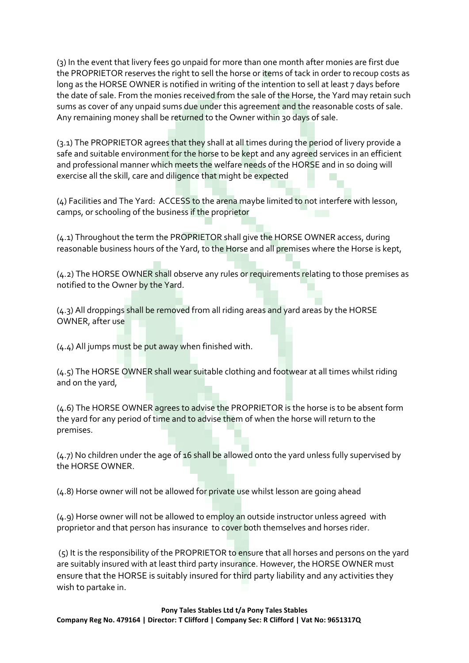(3) In the event that livery fees go unpaid for more than one month after monies are first due the PROPRIETOR reserves the right to sell the horse or items of tack in order to recoup costs as long as the HORSE OWNER is notified in writing of the intention to sell at least 7 days before the date of sale. From the monies received from the sale of the Horse, the Yard may retain such sums as cover of any unpaid sums due under this agreement and the reasonable costs of sale. Any remaining money shall be returned to the Owner within 30 days of sale.

(3.1) The PROPRIETOR agrees that they shall at all times during the period of livery provide a safe and suitable environment for the horse to be kept and any agreed services in an efficient and professional manner which meets the welfare needs of the HORSE and in so doing will exercise all the skill, care and diligence that might be expected

(4) Facilities and The Yard: ACCESS to the arena maybe limited to not interfere with lesson, camps, or schooling of the business if the proprietor

(4.1) Throughout the term the PROPRIETOR shall give the HORSE OWNER access, during reasonable business hours of the Yard, to the Horse and all premises where the Horse is kept,

(4.2) The HORSE OWNER shall observe any rules or requirements relating to those premises as notified to the Owner by the Yard.

(4.3) All droppings shall be removed from all riding areas and yard areas by the HORSE OWNER, after use

(4.4) All jumps must be put away when finished with.

(4.5) The HORSE OWNER shall wear suitable clothing and footwear at all times whilst riding and on the yard,

(4.6) The HORSE OWNER agrees to advise the PROPRIETOR is the horse is to be absent form the yard for any period of time and to advise them of when the horse will return to the premises.

(4.7) No children under the age of 16 shall be allowed onto the yard unless fully supervised by the HORSE OWNER.

(4.8) Horse owner will not be allowed for private use whilst lesson are going ahead

 $(4.9)$  Horse owner will not be allowed to employ an outside instructor unless agreed with proprietor and that person has insurance to cover both themselves and horses rider.

(5) It is the responsibility of the PROPRIETOR to ensure that all horses and persons on the yard are suitably insured with at least third party insurance. However, the HORSE OWNER must ensure that the HORSE is suitably insured for third party liability and any activities they wish to partake in.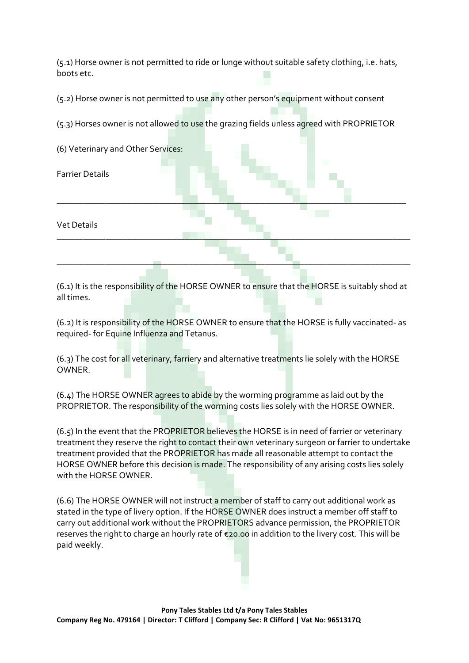(5.1) Horse owner is not permitted to ride or lunge without suitable safety clothing, i.e. hats, boots etc.

(5.2) Horse owner is not permitted to use any other person's equipment without consent

(5.3) Horses owner is not allowed to use the grazing fields unless agreed with PROPRIETOR

| (6) Veterinary and Other Services: |  |  |
|------------------------------------|--|--|
| <b>Farrier Details</b>             |  |  |
| Vet Details                        |  |  |
|                                    |  |  |

(6.1) It is the responsibility of the HORSE OWNER to ensure that the HORSE is suitably shod at all times.

(6.2) It is responsibility of the HORSE OWNER to ensure that the HORSE is fully vaccinated- as required- for Equine Influenza and Tetanus.

(6.3) The cost for all veterinary, farriery and alternative treatments lie solely with the HORSE OWNER.

 $(6.4)$  The HORSE OWNER agrees to abide by the worming programme as laid out by the PROPRIETOR. The responsibility of the worming costs lies solely with the HORSE OWNER.

(6.5) In the event that the PROPRIETOR believes the HORSE is in need of farrier or veterinary treatment they reserve the right to contact their own veterinary surgeon or farrier to undertake treatment provided that the PROPRIETOR has made all reasonable attempt to contact the HORSE OWNER before this decision is made. The responsibility of any arising costs lies solely with the HORSE OWNER.

(6.6) The HORSE OWNER will not instruct a member of staff to carry out additional work as stated in the type of livery option. If the HORSE OWNER does instruct a member off staff to carry out additional work without the PROPRIETORS advance permission, the PROPRIETOR reserves the right to charge an hourly rate of €20.00 in addition to the livery cost. This will be paid weekly.